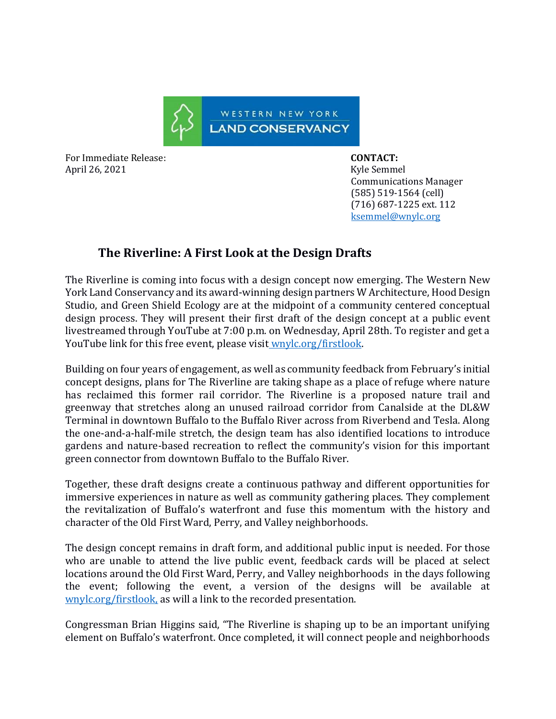

For Immediate Release: **CONTACT:**  April 26, 2021 **Kyle Semmel** 

 Communications Manager (585) 519-1564 (cell) (716) 687-1225 ext. 112 [ksemmel@wnylc.org](mailto:ksemmel@wnylc.org)

## **The Riverline: A First Look at the Design Drafts**

The Riverline is coming into focus with a design concept now emerging. The Western New York Land Conservancy and its award-winning design partners W Architecture, Hood Design Studio, and Green Shield Ecology are at the midpoint of a community centered conceptual design process. They will present their first draft of the design concept at a public event livestreamed through YouTube at 7:00 p.m. on Wednesday, April 28th. To register and get a YouTube link for this free event, please visit wnylc[.org/](https://www.wnylc.org/firstlook)firstlook.

Building on four years of engagement, as well as community feedback from February's initial concept designs, plans for The Riverline are taking shape as a place of refuge where nature has reclaimed this former rail corridor. The Riverline is a proposed nature trail and greenway that stretches along an unused railroad corridor from Canalside at the DL&W Terminal in downtown Buffalo to the Buffalo River across from Riverbend and Tesla. Along the one-and-a-half-mile stretch, the design team has also identified locations to introduce gardens and nature-based recreation to reflect the community's vision for this important green connector from downtown Buffalo to the Buffalo River.

Together, these draft designs create a continuous pathway and different opportunities for immersive experiences in nature as well as community gathering places. They complement the revitalization of Buffalo's waterfront and fuse this momentum with the history and character of the Old First Ward, Perry, and Valley neighborhoods.

The design concept remains in draft form, and additional public input is needed. For those who are unable to attend the live public event, feedback cards will be placed at select locations around the Old First Ward, Perry, and Valley neighborhoods in the days following the event; following the event, a version of the designs will be available at [wnylc.org/firstlook,](https://www.wnylc.org/firstlook) as will a link to the recorded presentation.

Congressman Brian Higgins said, "The Riverline is shaping up to be an important unifying element on Buffalo's waterfront. Once completed, it will connect people and neighborhoods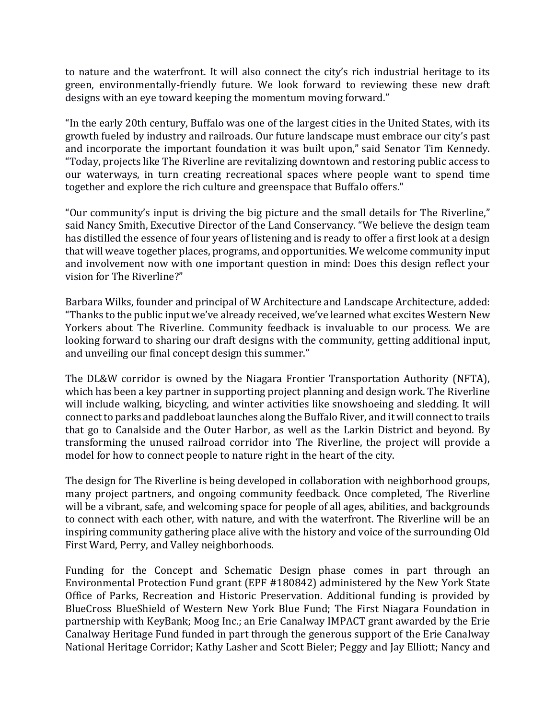to nature and the waterfront. It will also connect the city's rich industrial heritage to its green, environmentally-friendly future. We look forward to reviewing these new draft designs with an eye toward keeping the momentum moving forward."

"In the early 20th century, Buffalo was one of the largest cities in the United States, with its growth fueled by industry and railroads. Our future landscape must embrace our city's past and incorporate the important foundation it was built upon," said Senator Tim Kennedy. "Today, projects like The Riverline are revitalizing downtown and restoring public access to our waterways, in turn creating recreational spaces where people want to spend time together and explore the rich culture and greenspace that Buffalo offers."

"Our community's input is driving the big picture and the small details for The Riverline," said Nancy Smith, Executive Director of the Land Conservancy. "We believe the design team has distilled the essence of four years of listening and is ready to offer a first look at a design that will weave together places, programs, and opportunities. We welcome community input and involvement now with one important question in mind: Does this design reflect your vision for The Riverline?"

Barbara Wilks, founder and principal of W Architecture and Landscape Architecture, added: "Thanks to the public input we've already received, we've learned what excites Western New Yorkers about The Riverline. Community feedback is invaluable to our process. We are looking forward to sharing our draft designs with the community, getting additional input, and unveiling our final concept design this summer."

The DL&W corridor is owned by the Niagara Frontier Transportation Authority (NFTA), which has been a key partner in supporting project planning and design work. The Riverline will include walking, bicycling, and winter activities like snowshoeing and sledding. It will connect to parks and paddleboat launches along the Buffalo River, and it will connect to trails that go to Canalside and the Outer Harbor, as well as the Larkin District and beyond. By transforming the unused railroad corridor into The Riverline, the project will provide a model for how to connect people to nature right in the heart of the city.

The design for The Riverline is being developed in collaboration with neighborhood groups, many project partners, and ongoing community feedback. Once completed, The Riverline will be a vibrant, safe, and welcoming space for people of all ages, abilities, and backgrounds to connect with each other, with nature, and with the waterfront. The Riverline will be an inspiring community gathering place alive with the history and voice of the surrounding Old First Ward, Perry, and Valley neighborhoods.

Funding for the Concept and Schematic Design phase comes in part through an Environmental Protection Fund grant (EPF #180842) administered by the New York State Office of Parks, Recreation and Historic Preservation. Additional funding is provided by BlueCross BlueShield of Western New York Blue Fund; The First Niagara Foundation in partnership with KeyBank; Moog Inc.; an Erie Canalway IMPACT grant awarded by the Erie Canalway Heritage Fund funded in part through the generous support of the Erie Canalway National Heritage Corridor; Kathy Lasher and Scott Bieler; Peggy and Jay Elliott; Nancy and